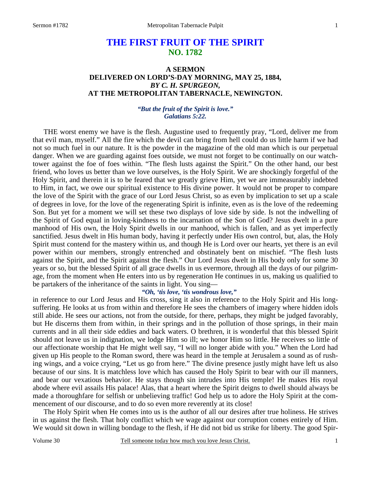# **THE FIRST FRUIT OF THE SPIRIT NO. 1782**

## **A SERMON DELIVERED ON LORD'S-DAY MORNING, MAY 25, 1884,**  *BY C. H. SPURGEON,*  **AT THE METROPOLITAN TABERNACLE, NEWINGTON.**

### *"But the fruit of the Spirit is love." Galatians 5:22.*

 THE worst enemy we have is the flesh. Augustine used to frequently pray, "Lord, deliver me from that evil man, myself." All the fire which the devil can bring from hell could do us little harm if we had not so much fuel in our nature. It is the powder in the magazine of the old man which is our perpetual danger. When we are guarding against foes outside, we must not forget to be continually on our watchtower against the foe of foes within. "The flesh lusts against the Spirit." On the other hand, our best friend, who loves us better than we love ourselves, is the Holy Spirit. We are shockingly forgetful of the Holy Spirit, and therein it is to be feared that we greatly grieve Him, yet we are immeasurably indebted to Him, in fact, we owe our spiritual existence to His divine power. It would not be proper to compare the love of the Spirit with the grace of our Lord Jesus Christ, so as even by implication to set up a scale of degrees in love, for the love of the regenerating Spirit is infinite, even as is the love of the redeeming Son. But yet for a moment we will set these two displays of love side by side. Is not the indwelling of the Spirit of God equal in loving-kindness to the incarnation of the Son of God? Jesus dwelt in a pure manhood of His own, the Holy Spirit dwells in our manhood, which is fallen, and as yet imperfectly sanctified. Jesus dwelt in His human body, having it perfectly under His own control, but, alas, the Holy Spirit must contend for the mastery within us, and though He is Lord over our hearts, yet there is an evil power within our members, strongly entrenched and obstinately bent on mischief. "The flesh lusts against the Spirit, and the Spirit against the flesh." Our Lord Jesus dwelt in His body only for some 30 years or so, but the blessed Spirit of all grace dwells in us evermore, through all the days of our pilgrimage, from the moment when He enters into us by regeneration He continues in us, making us qualified to be partakers of the inheritance of the saints in light. You sing—

### *"Oh, 'tis love, 'tis wondrous love,"*

in reference to our Lord Jesus and His cross, sing it also in reference to the Holy Spirit and His longsuffering. He looks at us from within and therefore He sees the chambers of imagery where hidden idols still abide. He sees our actions, not from the outside, for there, perhaps, they might be judged favorably, but He discerns them from within, in their springs and in the pollution of those springs, in their main currents and in all their side eddies and back waters. O brethren, it is wonderful that this blessed Spirit should not leave us in indignation, we lodge Him so ill; we honor Him so little. He receives so little of our affectionate worship that He might well say, "I will no longer abide with you." When the Lord had given up His people to the Roman sword, there was heard in the temple at Jerusalem a sound as of rushing wings, and a voice crying, "Let us go from here." The divine presence justly might have left us also because of our sins. It is matchless love which has caused the Holy Spirit to bear with our ill manners, and bear our vexatious behavior. He stays though sin intrudes into His temple! He makes His royal abode where evil assails His palace! Alas, that a heart where the Spirit deigns to dwell should always be made a thoroughfare for selfish or unbelieving traffic! God help us to adore the Holy Spirit at the commencement of our discourse, and to do so even more reverently at its close!

 The Holy Spirit when He comes into us is the author of all our desires after true holiness. He strives in us against the flesh. That holy conflict which we wage against our corruption comes entirely of Him. We would sit down in willing bondage to the flesh, if He did not bid us strike for liberty. The good Spir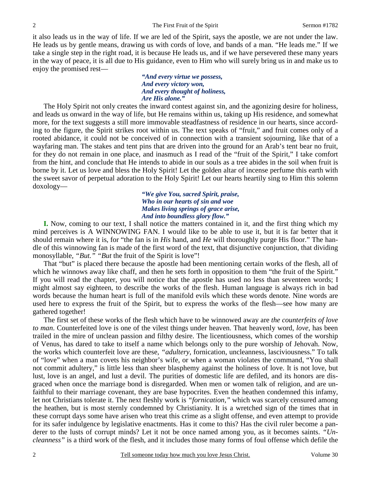it also leads us in the way of life. If we are led of the Spirit, says the apostle, we are not under the law. He leads us by gentle means, drawing us with cords of love, and bands of a man. "He leads me." If we take a single step in the right road, it is because He leads us, and if we have persevered these many years in the way of peace, it is all due to His guidance, even to Him who will surely bring us in and make us to enjoy the promised rest—

#### *"And every virtue we possess, And every victory won, And every thought of holiness, Are His alone."*

The Holy Spirit not only creates the inward contest against sin, and the agonizing desire for holiness, and leads us onward in the way of life, but He remains within us, taking up His residence, and somewhat more, for the text suggests a still more immovable steadfastness of residence in our hearts, since according to the figure, the Spirit strikes root within us. The text speaks of "fruit," and fruit comes only of a rooted abidance, it could not be conceived of in connection with a transient sojourning, like that of a wayfaring man. The stakes and tent pins that are driven into the ground for an Arab's tent bear no fruit, for they do not remain in one place, and inasmuch as I read of the "fruit of the Spirit," I take comfort from the hint, and conclude that He intends to abide in our souls as a tree abides in the soil when fruit is borne by it. Let us love and bless the Holy Spirit! Let the golden altar of incense perfume this earth with the sweet savor of perpetual adoration to the Holy Spirit! Let our hearts heartily sing to Him this solemn doxology—

> *"We give You, sacred Spirit, praise, Who in our hearts of sin and woe Makes living springs of grace arise, And into boundless glory flow."*

**I.** Now, coming to our text, I shall notice the matters contained in it, and the first thing which my mind perceives is A WINNOWING FAN. I would like to be able to use it, but it is far better that it should remain where it is, for "the fan is in *His* hand, and *He* will thoroughly purge His floor." The handle of this winnowing fan is made of the first word of the text, that disjunctive conjunction, that dividing monosyllable, *"But." "But* the fruit of the Spirit is love"!

 That "but" is placed there because the apostle had been mentioning certain works of the flesh, all of which he winnows away like chaff, and then he sets forth in opposition to them "the fruit of the Spirit." If you will read the chapter, you will notice that the apostle has used no less than seventeen words; I might almost say eighteen, to describe the works of the flesh. Human language is always rich in bad words because the human heart is full of the manifold evils which these words denote. Nine words are used here to express the fruit of the Spirit, but to express the works of the flesh—see how many are gathered together!

 The first set of these works of the flesh which have to be winnowed away are *the counterfeits of love to man*. Counterfeited love is one of the vilest things under heaven. That heavenly word, *love,* has been trailed in the mire of unclean passion and filthy desire. The licentiousness, which comes of the worship of Venus, has dared to take to itself a name which belongs only to the pure worship of Jehovah. Now, the works which counterfeit love are these, *"adultery*, fornication, uncleanness, lasciviousness." To talk of "love" when a man covets his neighbor's wife, or when a woman violates the command, "You shall not commit adultery," is little less than sheer blasphemy against the holiness of love. It is not love, but lust, love is an angel, and lust a devil. The purities of domestic life are defiled, and its honors are disgraced when once the marriage bond is disregarded. When men or women talk of religion, and are unfaithful to their marriage covenant, they are base hypocrites. Even the heathen condemned this infamy, let not Christians tolerate it. The next fleshly work is *"fornication,"* which was scarcely censured among the heathen, but is most sternly condemned by Christianity. It is a wretched sign of the times that in these corrupt days some have arisen who treat this crime as a slight offense, and even attempt to provide for its safer indulgence by legislative enactments. Has it come to this? Has the civil ruler become a panderer to the lusts of corrupt minds? Let it not be once named among you, as it becomes saints. *"Uncleanness"* is a third work of the flesh, and it includes those many forms of foul offense which defile the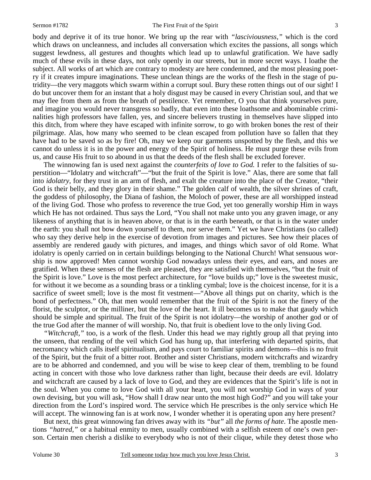body and deprive it of its true honor. We bring up the rear with *"lasciviousness,"* which is the cord which draws on uncleanness, and includes all conversation which excites the passions, all songs which suggest lewdness, all gestures and thoughts which lead up to unlawful gratification. We have sadly much of these evils in these days, not only openly in our streets, but in more secret ways. I loathe the subject. All works of art which are contrary to modesty are here condemned, and the most pleasing poetry if it creates impure imaginations. These unclean things are the works of the flesh in the stage of putridity—the very maggots which swarm within a corrupt soul. Bury these rotten things out of our sight! I do but uncover them for an instant that a holy disgust may be caused in every Christian soul, and that we may flee from them as from the breath of pestilence. Yet remember, O you that think yourselves pure, and imagine you would never transgress so badly, that even into these loathsome and abominable criminalities high professors have fallen, yes, and sincere believers trusting in themselves have slipped into this ditch, from where they have escaped with infinite sorrow, to go with broken bones the rest of their pilgrimage. Alas, how many who seemed to be clean escaped from pollution have so fallen that they have had to be saved so as by fire! Oh, may we keep our garments unspotted by the flesh, and this we cannot do unless it is in the power and energy of the Spirit of holiness. He must purge these evils from us, and cause His fruit to so abound in us that the deeds of the flesh shall be excluded forever.

 The winnowing fan is used next against the *counterfeits of love to God.* I refer to the falsities of superstition—"Idolatry and witchcraft"—"but the fruit of the Spirit is love." Alas, there are some that fall into *idolatry,* for they trust in an arm of flesh, and exalt the creature into the place of the Creator, "their God is their belly, and they glory in their shame." The golden calf of wealth, the silver shrines of craft, the goddess of philosophy, the Diana of fashion, the Moloch of power, these are all worshipped instead of the living God. Those who profess to reverence the true God, yet too generally worship Him in ways which He has not ordained. Thus says the Lord, "You shall not make unto you any graven image, or any likeness of anything that is in heaven above, or that is in the earth beneath, or that is in the water under the earth: you shall not bow down yourself to them, nor serve them." Yet we have Christians (so called) who say they derive help in the exercise of devotion from images and pictures. See how their places of assembly are rendered gaudy with pictures, and images, and things which savor of old Rome. What idolatry is openly carried on in certain buildings belonging to the National Church! What sensuous worship is now approved! Men cannot worship God nowadays unless their eyes, and ears, and noses are gratified. When these senses of the flesh are pleased, they are satisfied with themselves, "but the fruit of the Spirit is love." Love is the most perfect architecture, for "love builds up;" love is the sweetest music, for without it we become as a sounding brass or a tinkling cymbal; love is the choicest incense, for it is a sacrifice of sweet smell; love is the most fit vestment—"Above all things put on charity, which is the bond of perfectness." Oh, that men would remember that the fruit of the Spirit is not the finery of the florist, the sculptor, or the milliner, but the love of the heart. It ill becomes us to make that gaudy which should be simple and spiritual. The fruit of the Spirit is not idolatry—the worship of another god or of the true God after the manner of will worship. No, that fruit is obedient love to the only living God.

*"Witchcraft,"* too, is a work of the flesh. Under this head we may rightly group all that prying into the unseen, that rending of the veil which God has hung up, that interfering with departed spirits, that necromancy which calls itself spiritualism, and pays court to familiar spirits and demons—this is no fruit of the Spirit, but the fruit of a bitter root. Brother and sister Christians, modern witchcrafts and wizardry are to be abhorred and condemned, and you will be wise to keep clear of them, trembling to be found acting in concert with those who love darkness rather than light, because their deeds are evil. Idolatry and witchcraft are caused by a lack of love to God, and they are evidences that the Spirit's life is not in the soul. When you come to love God with all your heart, you will not worship God in ways of your own devising, but you will ask, "How shall I draw near unto the most high God?" and you will take your direction from the Lord's inspired word. The service which He prescribes is the only service which He will accept. The winnowing fan is at work now, I wonder whether it is operating upon any here present?

 But next, this great winnowing fan drives away with its *"but"* all *the forms of hate*. The apostle mentions *"hatred,"* or a habitual enmity to men, usually combined with a selfish esteem of one's own person. Certain men cherish a dislike to everybody who is not of their clique, while they detest those who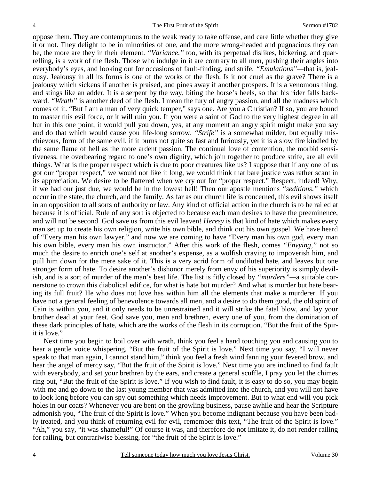oppose them. They are contemptuous to the weak ready to take offense, and care little whether they give it or not. They delight to be in minorities of one, and the more wrong-headed and pugnacious they can be, the more are they in their element. *"Variance,"* too, with its perpetual dislikes, bickering, and quarrelling, is a work of the flesh. Those who indulge in it are contrary to all men, pushing their angles into everybody's eyes, and looking out for occasions of fault-finding, and strife. *"Emulations"—*that is, jealousy. Jealousy in all its forms is one of the works of the flesh. Is it not cruel as the grave? There is a jealousy which sickens if another is praised, and pines away if another prospers. It is a venomous thing, and stings like an adder. It is a serpent by the way, biting the horse's heels, so that his rider falls backward. "Wrath" is another deed of the flesh. I mean the fury of angry passion, and all the madness which comes of it. "But I am a man of very quick temper," says one. Are you a Christian? If so, you are bound to master this evil force, or it will ruin you. If you were a saint of God to the very highest degree in all but in this one point, it would pull you down, yes, at any moment an angry spirit might make you say and do that which would cause you life-long sorrow. *"Strife"* is a somewhat milder, but equally mischievous, form of the same evil, if it burns not quite so fast and furiously, yet it is a slow fire kindled by the same flame of hell as the more ardent passion. The continual love of contention, the morbid sensitiveness, the overbearing regard to one's own dignity, which join together to produce strife, are all evil things. What is the proper respect which is due to poor creatures like us? I suppose that if any one of us got our "proper respect," we would not like it long, we would think that bare justice was rather scant in its appreciation. We desire to be flattered when we cry out for "proper respect." Respect, indeed! Why, if we had our just due, we would be in the lowest hell! Then our apostle mentions *"seditions,"* which occur in the state, the church, and the family. As far as our church life is concerned, this evil shows itself in an opposition to all sorts of authority or law. Any kind of official action in the church is to be railed at because it is official. Rule of any sort is objected to because each man desires to have the preeminence, and will not be second. God save us from this evil leaven! *Heresy* is that kind of hate which makes every man set up to create his own religion, write his own bible, and think out his own gospel. We have heard of "Every man his own lawyer," and now we are coming to have "Every man his own god, every man his own bible, every man his own instructor." After this work of the flesh, comes *"Envying,"* not so much the desire to enrich one's self at another's expense, as a wolfish craving to impoverish him, and pull him down for the mere sake of it. This is a very acrid form of undiluted hate, and leaves but one stronger form of hate. To desire another's dishonor merely from envy of his superiority is simply devilish, and is a sort of murder of the man's best life. The list is fitly closed by *"murders"—*a suitable cornerstone to crown this diabolical edifice, for what is hate but murder? And what is murder but hate bearing its full fruit? He who does not love has within him all the elements that make a murderer. If you have not a general feeling of benevolence towards all men, and a desire to do them good, the old spirit of Cain is within you, and it only needs to be unrestrained and it will strike the fatal blow, and lay your brother dead at your feet. God save you, men and brethren, every one of you, from the domination of these dark principles of hate, which are the works of the flesh in its corruption. "But the fruit of the Spirit is love."

 Next time you begin to boil over with wrath, think you feel a hand touching you and causing you to hear a gentle voice whispering, "But the fruit of the Spirit is love." Next time you say, "I will never speak to that man again, I cannot stand him," think you feel a fresh wind fanning your fevered brow, and hear the angel of mercy say, "But the fruit of the Spirit is love." Next time you are inclined to find fault with everybody, and set your brethren by the ears, and create a general scuffle, I pray you let the chimes ring out, "But the fruit of the Spirit is love." If you wish to find fault, it is easy to do so, you may begin with me and go down to the last young member that was admitted into the church, and you will not have to look long before you can spy out something which needs improvement. But to what end will you pick holes in our coats? Whenever you are bent on the growling business, pause awhile and hear the Scripture admonish you, "The fruit of the Spirit is love." When you become indignant because you have been badly treated, and you think of returning evil for evil, remember this text, "The fruit of the Spirit is love." "Ah," you say, "it was shameful!" Of course it was, and therefore do not imitate it, do not render railing for railing, but contrariwise blessing, for "the fruit of the Spirit is love."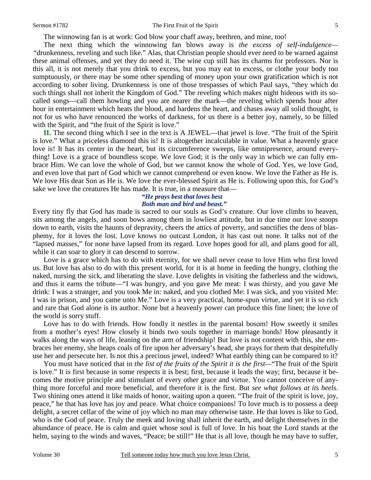#### Sermon #1782 The First Fruit of the Spirit 5

The winnowing fan is at work: God blow your chaff away, brethren, and mine, too!

 The next thing which the winnowing fan blows away is *the excess of self-indulgence— "*drunkenness, reveling and such like." Alas, that Christian people should ever need to be warned against these animal offenses, and yet they do need it. The wine cup still has its charms for professors. Nor is this all, it is not merely that you drink to excess, but you may eat to excess, or clothe your body too sumptuously, or there may be some other spending of money upon your own gratification which is not according to sober living. Drunkenness is one of those trespasses of which Paul says, "they which do such things shall not inherit the Kingdom of God." The reveling which makes night hideous with its socalled songs—call them howling and you are nearer the mark—the reveling which spends hour after hour in entertainment which heats the blood, and hardens the heart, and chases away all solid thought, is not for us who have renounced the works of darkness, for us there is a better joy, namely, to be filled with the Spirit, and "the fruit of the Spirit is love."

**II.** The second thing which I see in the text is A JEWEL—that jewel is *love*. "The fruit of the Spirit is love." What a priceless diamond this is! It is altogether incalculable in value. What a heavenly grace love is! It has its center in the heart, but its circumference sweeps, like omnipresence, around everything! Love is a grace of boundless scope. We love God; it is the only way in which we can fully embrace Him. We can love the whole of God, but we cannot know the whole of God. Yes, we love God, and even love that part of God which we cannot comprehend or even know. We love the Father as He is. We love His dear Son as He is. We love the ever-blessed Spirit as He is. Following upon this, for God's sake we love the creatures He has made. It is true, in a measure that—

## *"He prays best that loves best Both man and bird and beast."*

Every tiny fly that God has made is sacred to our souls as God's creature. Our love climbs to heaven, sits among the angels, and soon bows among them in lowliest attitude, but in due time our love stoops down to earth, visits the haunts of depravity, cheers the attics of poverty, and sanctifies the dens of blasphemy, for it loves the lost. Love knows no outcast London, it has cast out none. It talks not of the "lapsed masses," for none have lapsed from its regard. Love hopes good for all, and plans good for all, while it can soar to glory it can descend to sorrow.

 Love is a grace which has to do with eternity, for we shall never cease to love Him who first loved us. But love has also to do with this present world, for it is at home in feeding the hungry, clothing the naked, nursing the sick, and liberating the slave. Love delights in visiting the fatherless and the widows, and thus it earns the tribute—"I was hungry, and you gave Me meat: I was thirsty, and you gave Me drink: I was a stranger, and you took Me in: naked, and you clothed Me: I was sick, and you visited Me: I was in prison, and you came unto Me." Love is a very practical, home-spun virtue, and yet it is so rich and rare that God alone is its author. None but a heavenly power can produce this fine linen; the love of the world is sorry stuff.

 Love has to do with friends. How fondly it nestles in the parental bosom! How sweetly it smiles from a mother's eyes! How closely it binds two souls together in marriage bonds! How pleasantly it walks along the ways of life, leaning on the arm of friendship! But love is not content with this, she embraces her enemy, she heaps coals of fire upon her adversary's head, she prays for them that despitefully use her and persecute her. Is not this a precious jewel, indeed? What earthly thing can be compared to it?

 You must have noticed that in *the list of the fruits of the Spirit it is the first—*"The fruit of the Spirit is love." It is first because in some respects it is best; first, because it leads the way; first, because it becomes the motive principle and stimulant of every other grace and virtue. You cannot conceive of anything more forceful and more beneficial, and therefore it is the first. But *see what follows at its heels*. Two shining ones attend it like maids of honor, waiting upon a queen. "The fruit of the spirit is love, joy, peace," he that has love has joy and peace. What choice companions! To love much is to possess a deep delight, a secret cellar of the wine of joy which no man may otherwise taste. He that loves is like to God, who is the God of peace. Truly the meek and loving shall inherit the earth, and delight themselves in the abundance of peace. He is calm and quiet whose soul is full of love. In his boat the Lord stands at the helm, saying to the winds and waves, "Peace; be still!" He that is all love, though he may have to suffer,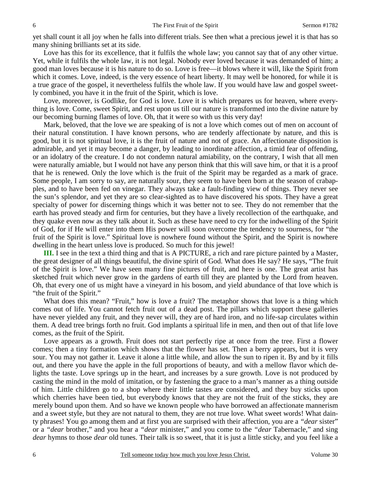yet shall count it all joy when he falls into different trials. See then what a precious jewel it is that has so many shining brilliants set at its side.

 Love has this for its excellence, that it fulfils the whole law; you cannot say that of any other virtue. Yet, while it fulfils the whole law, it is not legal. Nobody ever loved because it was demanded of him; a good man loves because it is his nature to do so. Love is free—it blows where it will, like the Spirit from which it comes. Love, indeed, is the very essence of heart liberty. It may well be honored, for while it is a true grace of the gospel, it nevertheless fulfils the whole law. If you would have law and gospel sweetly combined, you have it in the fruit of the Spirit, which is love.

 Love, moreover, is Godlike, for God is love. Love it is which prepares us for heaven, where everything is love. Come, sweet Spirit, and rest upon us till our nature is transformed into the divine nature by our becoming burning flames of love. Oh, that it were so with us this very day!

 Mark, beloved, that the love we are speaking of is not a love which comes out of men on account of their natural constitution. I have known persons, who are tenderly affectionate by nature, and this is good, but it is not spiritual love, it is the fruit of nature and not of grace. An affectionate disposition is admirable, and yet it may become a danger, by leading to inordinate affection, a timid fear of offending, or an idolatry of the creature. I do not condemn natural amiability, on the contrary, I wish that all men were naturally amiable, but I would not have any person think that this will save him, or that it is a proof that he is renewed. Only the love which is the fruit of the Spirit may be regarded as a mark of grace. Some people, I am sorry to say, are naturally sour, they seem to have been born at the season of crabapples, and to have been fed on vinegar. They always take a fault-finding view of things. They never see the sun's splendor, and yet they are so clear-sighted as to have discovered his spots. They have a great specialty of power for discerning things which it was better not to see. They do not remember that the earth has proved steady and firm for centuries, but they have a lively recollection of the earthquake, and they quake even now as they talk about it. Such as these have need to cry for the indwelling of the Spirit of God, for if He will enter into them His power will soon overcome the tendency to sourness, for "the fruit of the Spirit is love." Spiritual love is nowhere found without the Spirit, and the Spirit is nowhere dwelling in the heart unless love is produced. So much for this jewel!

**III.** I see in the text a third thing and that is A PICTURE, a rich and rare picture painted by a Master, the great designer of all things beautiful, the divine spirit of God. What does He say? He says, "The fruit of the Spirit is love." We have seen many fine pictures of fruit, and here is one. The great artist has sketched fruit which never grow in the gardens of earth till they are planted by the Lord from heaven. Oh, that every one of us might have a vineyard in his bosom, and yield abundance of that love which is "the fruit of the Spirit."

What does this mean? "Fruit," how is love a fruit? The metaphor shows that love is a thing which comes out of life. You cannot fetch fruit out of a dead post. The pillars which support these galleries have never yielded any fruit, and they never will, they are of hard iron, and no life-sap circulates within them. A dead tree brings forth no fruit. God implants a spiritual life in men, and then out of that life love comes, as the fruit of the Spirit.

 Love appears as a growth. Fruit does not start perfectly ripe at once from the tree. First a flower comes; then a tiny formation which shows that the flower has set. Then a berry appears, but it is very sour. You may not gather it. Leave it alone a little while, and allow the sun to ripen it. By and by it fills out, and there you have the apple in the full proportions of beauty, and with a mellow flavor which delights the taste. Love springs up in the heart, and increases by a sure growth. Love is not produced by casting the mind in the mold of imitation, or by fastening the grace to a man's manner as a thing outside of him. Little children go to a shop where their little tastes are considered, and they buy sticks upon which cherries have been tied, but everybody knows that they are not the fruit of the sticks, they are merely bound upon them. And so have we known people who have borrowed an affectionate mannerism and a sweet style, but they are not natural to them, they are not true love. What sweet words! What dainty phrases! You go among them and at first you are surprised with their affection, you are a *"dear* sister" or a *"dear* brother," and you hear a *"dear* minister," and you come to the *"dear* Tabernacle," and sing *dear* hymns to those *dear* old tunes. Their talk is so sweet, that it is just a little sticky, and you feel like a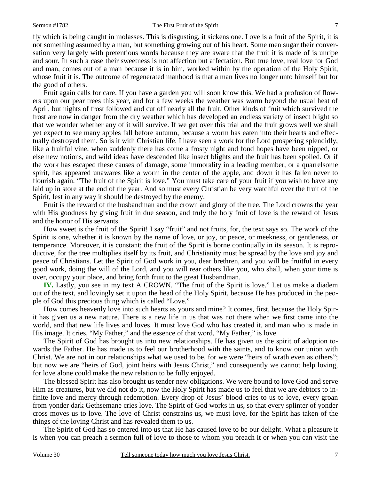fly which is being caught in molasses. This is disgusting, it sickens one. Love is a fruit of the Spirit, it is not something assumed by a man, but something growing out of his heart. Some men sugar their conversation very largely with pretentious words because they are aware that the fruit it is made of is unripe and sour. In such a case their sweetness is not affection but affectation. But true love, real love for God and man, comes out of a man because it is in him, worked within by the operation of the Holy Spirit, whose fruit it is. The outcome of regenerated manhood is that a man lives no longer unto himself but for the good of others.

 Fruit again calls for care. If you have a garden you will soon know this. We had a profusion of flowers upon our pear trees this year, and for a few weeks the weather was warm beyond the usual heat of April, but nights of frost followed and cut off nearly all the fruit. Other kinds of fruit which survived the frost are now in danger from the dry weather which has developed an endless variety of insect blight so that we wonder whether any of it will survive. If we get over this trial and the fruit grows well we shall yet expect to see many apples fall before autumn, because a worm has eaten into their hearts and effectually destroyed them. So is it with Christian life. I have seen a work for the Lord prospering splendidly, like a fruitful vine, when suddenly there has come a frosty night and fond hopes have been nipped, or else new notions, and wild ideas have descended like insect blights and the fruit has been spoiled. Or if the work has escaped these causes of damage, some immorality in a leading member, or a quarrelsome spirit, has appeared unawares like a worm in the center of the apple, and down it has fallen never to flourish again. "The fruit of the Spirit is love." You must take care of your fruit if you wish to have any laid up in store at the end of the year. And so must every Christian be very watchful over the fruit of the Spirit, lest in any way it should be destroyed by the enemy.

 Fruit is the reward of the husbandman and the crown and glory of the tree. The Lord crowns the year with His goodness by giving fruit in due season, and truly the holy fruit of love is the reward of Jesus and the honor of His servants.

 How sweet is the fruit of the Spirit! I say "fruit" and not fruits, for, the text says so. The work of the Spirit is one, whether it is known by the name of love, or joy, or peace, or meekness, or gentleness, or temperance. Moreover, it is constant; the fruit of the Spirit is borne continually in its season. It is reproductive, for the tree multiplies itself by its fruit, and Christianity must be spread by the love and joy and peace of Christians. Let the Spirit of God work in you, dear brethren, and you will be fruitful in every good work, doing the will of the Lord, and you will rear others like you, who shall, when your time is over, occupy your place, and bring forth fruit to the great Husbandman.

**IV.** Lastly, you see in my text A CROWN. "The fruit of the Spirit is love." Let us make a diadem out of the text, and lovingly set it upon the head of the Holy Spirit, because He has produced in the people of God this precious thing which is called "Love."

 How comes heavenly love into such hearts as yours and mine? It comes, first, because the Holy Spirit has given us a new nature. There is a new life in us that was not there when we first came into the world, and that new life lives and loves. It must love God who has created it, and man who is made in His image. It cries, "My Father," and the essence of that word, "My Father," is love.

 The Spirit of God has brought us into new relationships. He has given us the spirit of adoption towards the Father. He has made us to feel our brotherhood with the saints, and to know our union with Christ. We are not in our relationships what we used to be, for we were "heirs of wrath even as others"; but now we are "heirs of God, joint heirs with Jesus Christ," and consequently we cannot help loving, for love alone could make the new relation to be fully enjoyed.

 The blessed Spirit has also brought us tender new obligations. We were bound to love God and serve Him as creatures, but we did not do it, now the Holy Spirit has made us to feel that we are debtors to infinite love and mercy through redemption. Every drop of Jesus' blood cries to us to love, every groan from yonder dark Gethsemane cries love. The Spirit of God works in us, so that every splinter of yonder cross moves us to love. The love of Christ constrains us, we must love, for the Spirit has taken of the things of the loving Christ and has revealed them to us.

 The Spirit of God has so entered into us that He has caused love to be our delight. What a pleasure it is when you can preach a sermon full of love to those to whom you preach it or when you can visit the